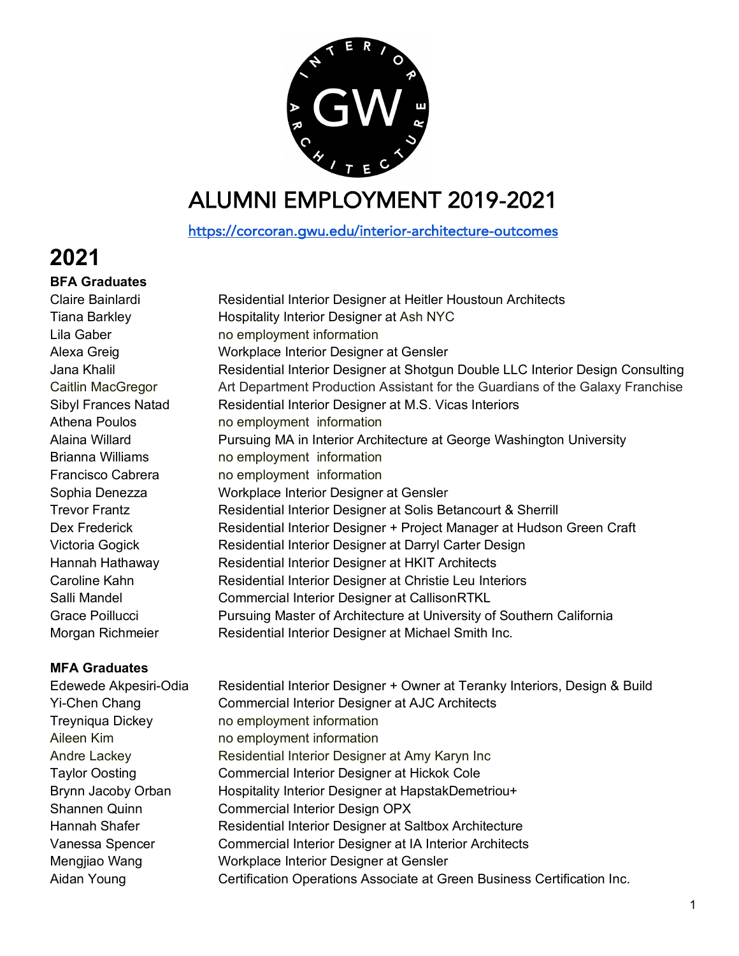

## ALUMNI EMPLOYMENT 2019-2021

https://corcoran.gwu.edu/interior-architecture-outcomes

## **2021**

**BFA Graduates** 

Lila Gaber no employment information Athena Poulos **no employment** information Brianna Williams **no employment** information Francisco Cabrera no employment information

### **MFA Graduates**

Edewede Akpesiri-Odia Residential Interior Designer + Owner at Teranky Interiors, Design & Build Yi-Chen Chang Commercial Interior Designer at AJC Architects Treyniqua Dickey no employment information Aileen Kim no employment information Andre Lackey Residential Interior Designer at Amy Karyn Inc Taylor Oosting Commercial Interior Designer at Hickok Cole Brynn Jacoby Orban Hospitality Interior Designer at HapstakDemetriou+ Shannen Quinn Commercial Interior Design OPX Hannah Shafer **Residential Interior Designer at Saltbox Architecture** Vanessa Spencer Commercial Interior Designer at IA Interior Architects Mengjiao Wang Workplace Interior Designer at Gensler Aidan Young Certification Operations Associate at Green Business Certification Inc.

Claire Bainlardi Residential Interior Designer at Heitler Houstoun Architects Tiana Barkley **Hospitality Interior Designer at Ash NYC** Alexa Greig Workplace Interior Designer at Gensler Jana Khalil Residential Interior Designer at Shotgun Double LLC Interior Design Consulting Caitlin MacGregor Art Department Production Assistant for the Guardians of the Galaxy Franchise Sibyl Frances Natad Residential Interior Designer at M.S. Vicas Interiors Alaina Willard Pursuing MA in Interior Architecture at George Washington University Sophia Denezza Workplace Interior Designer at Gensler Trevor Frantz **Residential Interior Designer at Solis Betancourt & Sherrill** Dex Frederick **Residential Interior Designer + Project Manager at Hudson Green Craft** Victoria Gogick **Residential Interior Designer at Darryl Carter Design** Hannah Hathaway Residential Interior Designer at HKIT Architects Caroline Kahn Residential Interior Designer at Christie Leu Interiors Salli Mandel **Commercial Interior Designer at CallisonRTKL** Grace Poillucci Pursuing Master of Architecture at University of Southern California Morgan Richmeier Residential Interior Designer at Michael Smith Inc.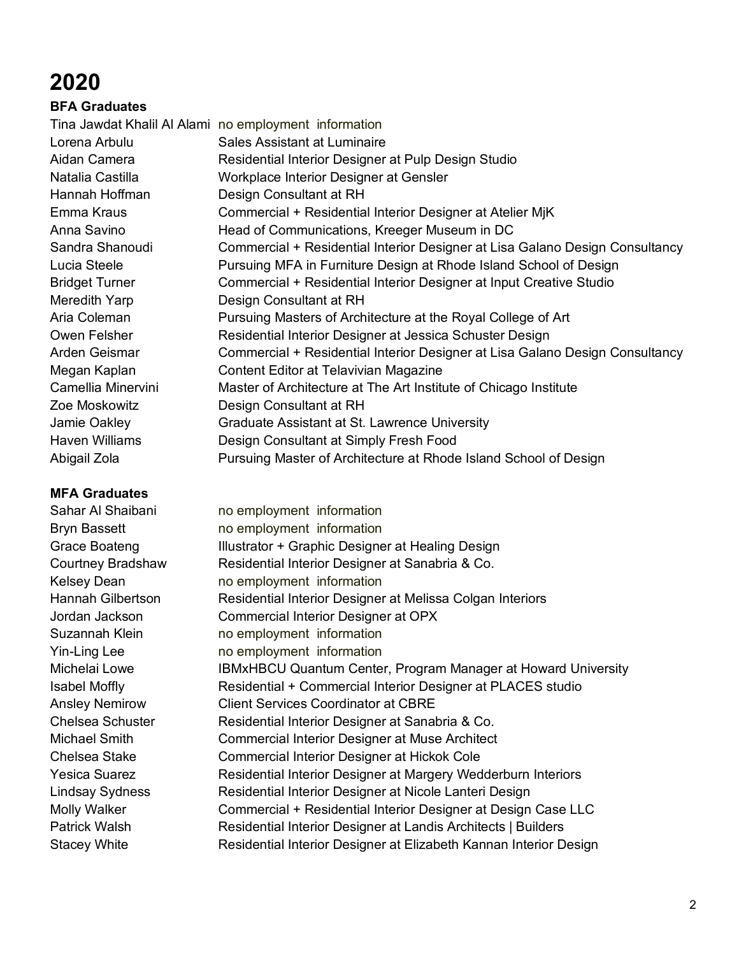# **2020**

**BFA Graduates**  Tina Jawdat Khalil Al Alami no employment information Lorena Arbulu Sales Assistant at Luminaire Aidan Camera **Residential Interior Designer at Pulp Design Studio** Natalia Castilla Workplace Interior Designer at Gensler

Hannah Hoffman Design Consultant at RH Emma Kraus **Commercial + Residential Interior Designer at Atelier MiK** Anna Savino Head of Communications, Kreeger Museum in DC Sandra Shanoudi Commercial + Residential Interior Designer at Lisa Galano Design Consultancy Lucia Steele **Pursuing MFA in Furniture Design at Rhode Island School of Design** Bridget Turner Commercial + Residential Interior Designer at Input Creative Studio Meredith Yarp Design Consultant at RH Aria Coleman **Pursuing Masters of Architecture at the Royal College of Art** Owen Felsher **Residential Interior Designer at Jessica Schuster Design** Arden Geismar Commercial + Residential Interior Designer at Lisa Galano Design Consultancy

#### **MFA Graduates**

Megan Kaplan Content Editor at Telavivian Magazine Camellia Minervini Master of Architecture at The Art Institute of Chicago Institute Zoe Moskowitz Design Consultant at RH Jamie Oakley Graduate Assistant at St. Lawrence University Haven Williams Design Consultant at Simply Fresh Food Abigail Zola Pursuing Master of Architecture at Rhode Island School of Design Sahar Al Shaibani no employment information Bryn Bassett no employment information Grace Boateng **Illustrator + Graphic Designer at Healing Design** Courtney Bradshaw Residential Interior Designer at Sanabria & Co. Kelsey Dean no employment information Hannah Gilbertson Residential Interior Designer at Melissa Colgan Interiors Jordan Jackson Commercial Interior Designer at OPX Suzannah Klein no employment information Yin-Ling Lee no employment information Michelai Lowe IBMxHBCU Quantum Center, Program Manager at Howard University Isabel Moffly **Residential + Commercial Interior Designer at PLACES studio** Ansley Nemirow Client Services Coordinator at CBRE Chelsea Schuster Residential Interior Designer at Sanabria & Co. Michael Smith Commercial Interior Designer at Muse Architect Chelsea Stake Commercial Interior Designer at Hickok Cole Yesica Suarez **Residential Interior Designer at Margery Wedderburn Interiors** Lindsay Sydness **Residential Interior Designer at Nicole Lanteri Design** Molly Walker **Commercial + Residential Interior Designer at Design Case LLC** Patrick Walsh **Residential Interior Designer at Landis Architects** | Builders Stacey White **Residential Interior Designer at Elizabeth Kannan Interior Design**